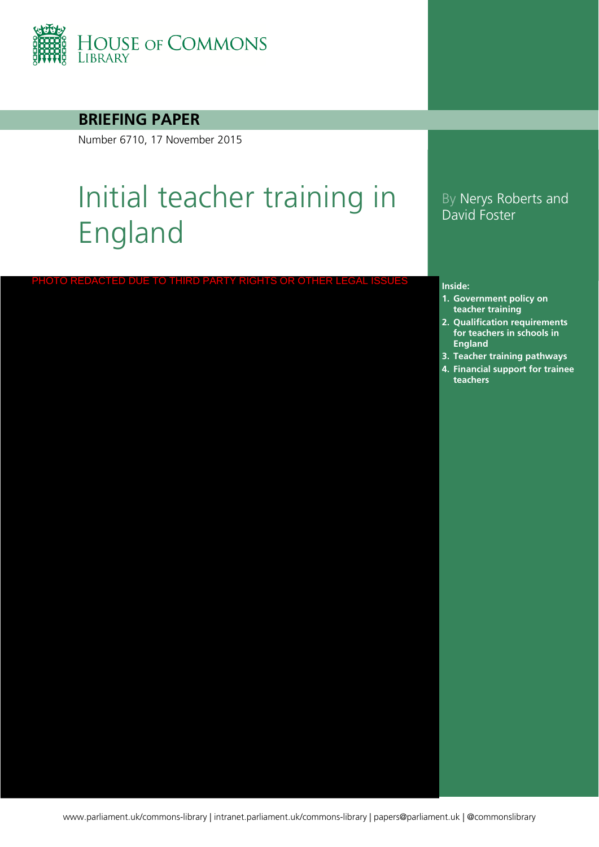

### **BRIEFING PAPER**

Number 6710, 17 November 2015

# Initial teacher training in England

# ACTED DUE TO THIRD PARTY RIGHTS OR OTHER LI

#### By Nerys Roberts and David Foster

#### **Inside:**

- **1. [Government policy on](#page-3-0)  teacher training**
- **2. Qualification requirements for teachers in schools in England**
- **3. [Teacher training pathways](#page-12-0)**
- **4. Financial support for trainee teachers**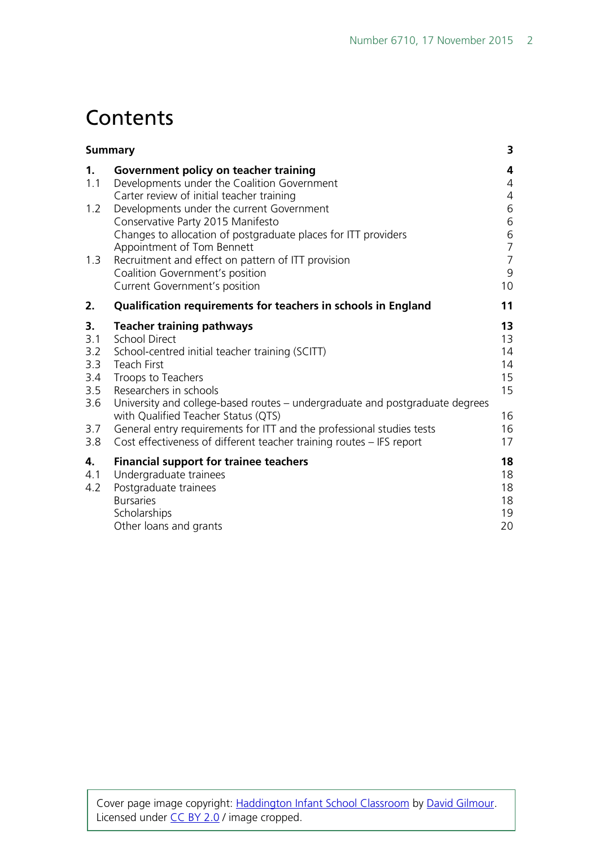# **Contents**

|                                                            | <b>Summary</b>                                                                                                                                                                                                                                                                                                                                                                                                                                            |                                                                |  |  |  |
|------------------------------------------------------------|-----------------------------------------------------------------------------------------------------------------------------------------------------------------------------------------------------------------------------------------------------------------------------------------------------------------------------------------------------------------------------------------------------------------------------------------------------------|----------------------------------------------------------------|--|--|--|
| 1.<br>1.1                                                  | Government policy on teacher training<br>Developments under the Coalition Government<br>Carter review of initial teacher training                                                                                                                                                                                                                                                                                                                         | 4<br>$\overline{4}$<br>$\overline{4}$                          |  |  |  |
| 1.2<br>1.3                                                 | Developments under the current Government<br>Conservative Party 2015 Manifesto<br>Changes to allocation of postgraduate places for ITT providers<br>Appointment of Tom Bennett<br>Recruitment and effect on pattern of ITT provision<br>Coalition Government's position                                                                                                                                                                                   | 6<br>$\,$ 6 $\,$<br>6<br>$\overline{7}$<br>$\overline{7}$<br>9 |  |  |  |
| 2.                                                         | Current Government's position<br>Qualification requirements for teachers in schools in England                                                                                                                                                                                                                                                                                                                                                            | 10<br>11                                                       |  |  |  |
| 3.<br>3.1<br>3.2<br>3.3<br>3.4<br>3.5<br>3.6<br>3.7<br>3.8 | <b>Teacher training pathways</b><br><b>School Direct</b><br>School-centred initial teacher training (SCITT)<br><b>Teach First</b><br>Troops to Teachers<br>Researchers in schools<br>University and college-based routes - undergraduate and postgraduate degrees<br>with Qualified Teacher Status (QTS)<br>General entry requirements for ITT and the professional studies tests<br>Cost effectiveness of different teacher training routes - IFS report | 13<br>13<br>14<br>14<br>15<br>15<br>16<br>16<br>17             |  |  |  |
| 4.<br>4.1<br>4.2                                           | <b>Financial support for trainee teachers</b><br>Undergraduate trainees<br>Postgraduate trainees<br><b>Bursaries</b><br>Scholarships<br>Other loans and grants                                                                                                                                                                                                                                                                                            | 18<br>18<br>18<br>18<br>19<br>20                               |  |  |  |

Cover page image copyright: [Haddington Infant School Classroom](https://www.flickr.com/photos/davidgilmour/8054768528/in/photolist-dgLN4s-rBJGQH-9DZPr-peS62u-boo4u7-rjgtWT-fHMRX8-bjpnAB-atjKHJ-dRj66Y-r2Bjv6-qK2ymQ-qZjbr7-q5AN79-r2wvN3-r2shwR-qK3RNy-qK3Q6L-q5Ptc8-qZjbSC-5wrEiv-7mQDFx-boBf7J-bBhY2V-4dJPyP-gjyq6i-bjGaiE-8VyCkT-5Urxsu-nnFoWi-4euk4W-bPCCM2-9R9qqY-f8r8er-PMpHi-bAJabh-9KMedm-artMsp-ocZRbi-9WBF8y-rAHmp6-bPCChR-rABNMW-bPCMdZ-qDHNs7-bAJ89w-3uwTYS-boBf6C-oudcsc-3uwNCy) by [David Gilmour.](https://www.flickr.com/photos/davidgilmour/) Licensed under [CC BY 2.0](https://creativecommons.org/licenses/by-nc-sa/2.0/) / image cropped.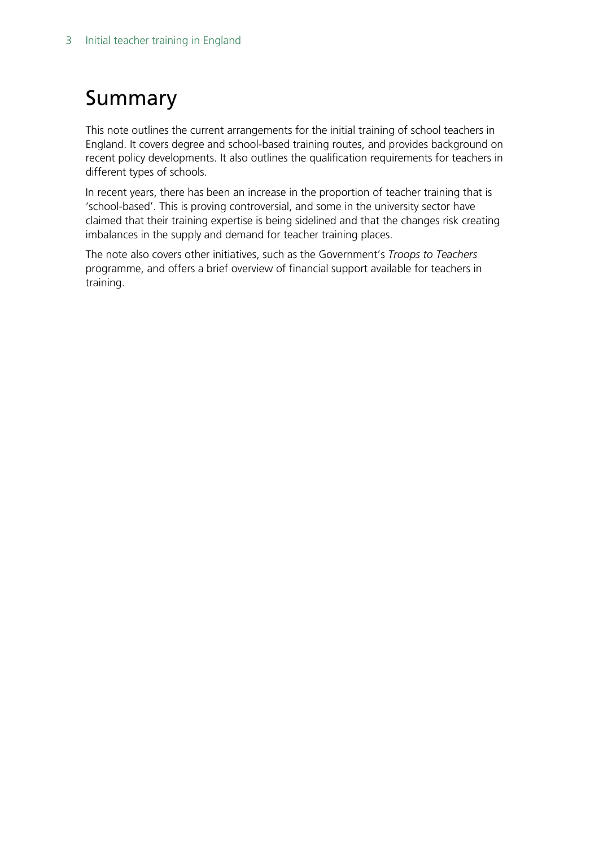# <span id="page-2-0"></span>Summary

This note outlines the current arrangements for the initial training of school teachers in England. It covers degree and school-based training routes, and provides background on recent policy developments. It also outlines the qualification requirements for teachers in different types of schools.

In recent years, there has been an increase in the proportion of teacher training that is 'school-based'. This is proving controversial, and some in the university sector have claimed that their training expertise is being sidelined and that the changes risk creating imbalances in the supply and demand for teacher training places.

The note also covers other initiatives, such as the Government's *Troops to Teachers* programme, and offers a brief overview of financial support available for teachers in training.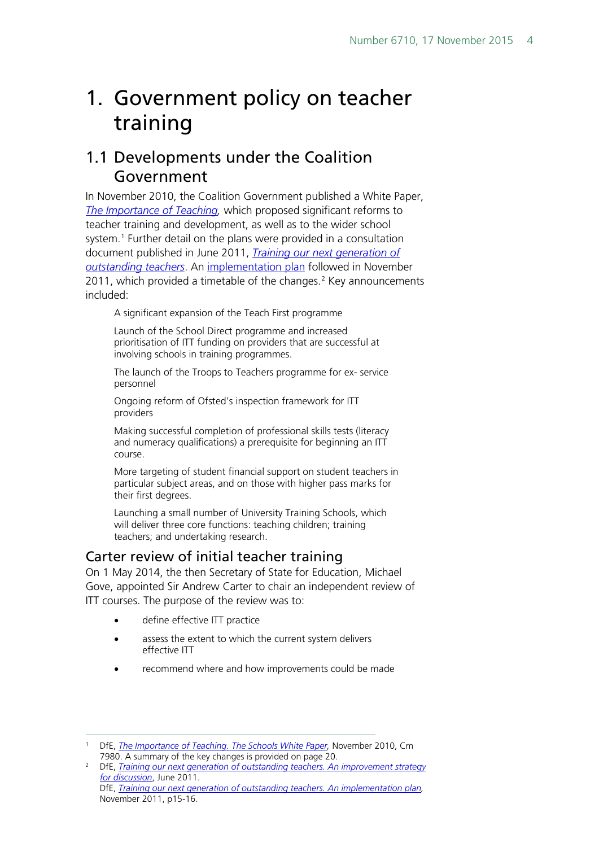# <span id="page-3-0"></span>1. Government policy on teacher training

## <span id="page-3-1"></span>1.1 Developments under the Coalition Government

In November 2010, the Coalition Government published a White Paper, *[The Importance of Teaching,](http://www.education.gov.uk/schools/toolsandinitiatives/schoolswhitepaper/b0068570/the-importance-of-teaching)* which proposed significant reforms to teacher training and development, as well as to the wider school system.<sup>[1](#page-3-3)</sup> Further detail on the plans were provided in a consultation document published in June 2011, *[Training our next generation of](http://media.education.gov.uk/assets/files/pdf/t/training%20our%20next%20generation%20of%20outstanding%20teachers.pdf)  [outstanding teachers](http://media.education.gov.uk/assets/files/pdf/t/training%20our%20next%20generation%20of%20outstanding%20teachers.pdf)*. An [implementation plan](https://www.gov.uk/government/uploads/system/uploads/attachment_data/file/181154/DFE-00083-2011.pdf) followed in November [2](#page-3-4)011, which provided a timetable of the changes. $2$  Key announcements included:

A significant expansion of the Teach First programme

Launch of the School Direct programme and increased prioritisation of ITT funding on providers that are successful at involving schools in training programmes.

The launch of the Troops to Teachers programme for ex- service personnel

Ongoing reform of Ofsted's inspection framework for ITT providers

Making successful completion of professional skills tests (literacy and numeracy qualifications) a prerequisite for beginning an ITT course.

More targeting of student financial support on student teachers in particular subject areas, and on those with higher pass marks for their first degrees.

Launching a small number of University Training Schools, which will deliver three core functions: teaching children; training teachers; and undertaking research.

### <span id="page-3-2"></span>Carter review of initial teacher training

On 1 May 2014, the then Secretary of State for Education, Michael Gove, appointed Sir Andrew Carter to chair an independent review of ITT courses. The purpose of the review was to:

- define effective ITT practice
- assess the extent to which the current system delivers effective ITT
- recommend where and how improvements could be made

<span id="page-3-3"></span><sup>&</sup>lt;sup>1</sup> DfE, *The Importance of Teaching. The Schools White Paper*, November 2010, Cm 7980. A summary of the key changes is provided on page 20.

<span id="page-3-4"></span><sup>2</sup> DfE, *[Training our next generation of outstanding teachers. An improvement strategy](http://media.education.gov.uk/assets/files/pdf/t/training%20our%20next%20generation%20of%20outstanding%20teachers.pdf)  [for discussion](http://media.education.gov.uk/assets/files/pdf/t/training%20our%20next%20generation%20of%20outstanding%20teachers.pdf)*, June 2011. DfE, *[Training our next generation of outstanding teachers. An implementation plan,](https://www.gov.uk/government/uploads/system/uploads/attachment_data/file/181154/DFE-00083-2011.pdf)*  November 2011, p15-16.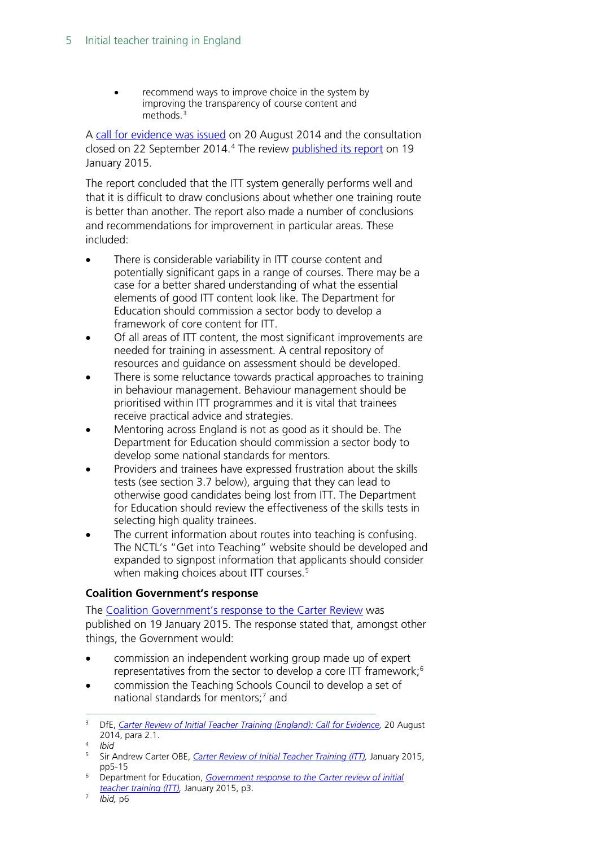recommend ways to improve choice in the system by improving the transparency of course content and methods.<sup>[3](#page-4-0)</sup>

A [call for evidence was issued](https://www.gov.uk/government/uploads/system/uploads/attachment_data/file/346051/Consultation_Document_-_Carter_Review_Final.pdf) on 20 August 2014 and the consultation closed on 22 September 201[4](#page-4-1).<sup>4</sup> The review [published its report](https://www.gov.uk/government/uploads/system/uploads/attachment_data/file/396391/Carter_Review_16012015.pdf) on 19 January 2015.

The report concluded that the ITT system generally performs well and that it is difficult to draw conclusions about whether one training route is better than another. The report also made a number of conclusions and recommendations for improvement in particular areas. These included:

- There is considerable variability in ITT course content and potentially significant gaps in a range of courses. There may be a case for a better shared understanding of what the essential elements of good ITT content look like. The Department for Education should commission a sector body to develop a framework of core content for ITT.
- Of all areas of ITT content, the most significant improvements are needed for training in assessment. A central repository of resources and guidance on assessment should be developed.
- There is some reluctance towards practical approaches to training in behaviour management. Behaviour management should be prioritised within ITT programmes and it is vital that trainees receive practical advice and strategies.
- Mentoring across England is not as good as it should be. The Department for Education should commission a sector body to develop some national standards for mentors.
- Providers and trainees have expressed frustration about the skills tests (see section 3.7 below), arguing that they can lead to otherwise good candidates being lost from ITT. The Department for Education should review the effectiveness of the skills tests in selecting high quality trainees.
- The current information about routes into teaching is confusing. The NCTL's "Get into Teaching" website should be developed and expanded to signpost information that applicants should consider when making choices about ITT courses.<sup>5</sup>

#### **Coalition Government's response**

The [Coalition Government's response to the Carter Review](https://www.gov.uk/government/news/new-headteacher-standards-and-review-of-itt-published) was published on 19 January 2015. The response stated that, amongst other things, the Government would:

- commission an independent working group made up of expert representatives from the sector to develop a core ITT framework;[6](#page-4-3)
- commission the Teaching Schools Council to develop a set of national standards for mentors;<sup>[7](#page-4-4)</sup> and

<span id="page-4-0"></span><sup>&</sup>lt;sup>3</sup> DfE, *Carter Review of Initial Teacher Training (England): Call for Evidence*, 20 August 2014, para 2.1. 4 *Ibid*

<span id="page-4-1"></span>

<span id="page-4-2"></span><sup>5</sup> Sir Andrew Carter OBE, *[Carter Review of Initial Teacher Training \(ITT\),](https://www.gov.uk/government/uploads/system/uploads/attachment_data/file/396391/Carter_Review_16012015.pdf)* January 2015, pp5-15

<span id="page-4-3"></span><sup>6</sup> Department for Education, *[Government response to the Carter review of initial](https://www.gov.uk/government/uploads/system/uploads/attachment_data/file/396461/Carter_Review_Government_response_20150119.pdf)  [teacher training \(ITT\),](https://www.gov.uk/government/uploads/system/uploads/attachment_data/file/396461/Carter_Review_Government_response_20150119.pdf)* January 2015, p3.

<span id="page-4-4"></span><sup>7</sup> *Ibid,* p6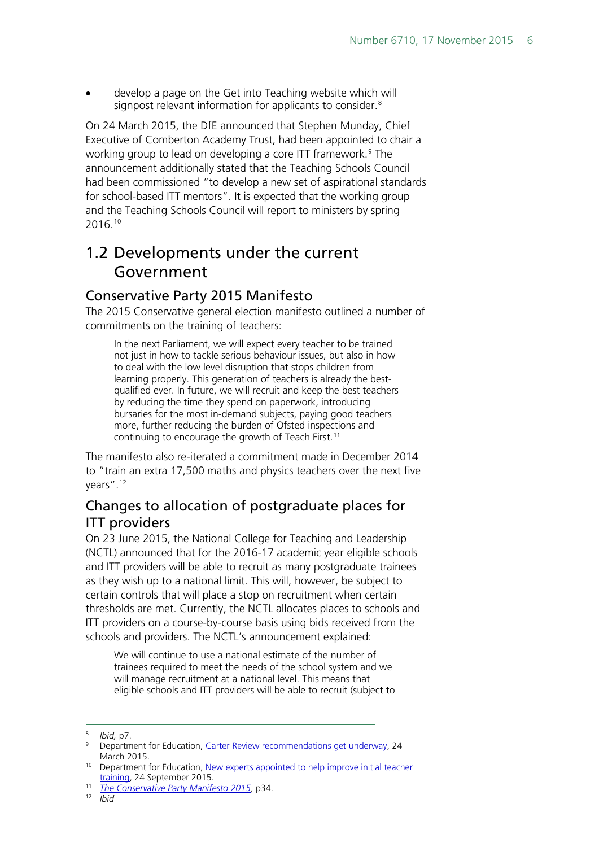• develop a page on the Get into Teaching website which will signpost relevant information for applicants to consider.<sup>[8](#page-5-3)</sup>

On 24 March 2015, the DfE announced that Stephen Munday, Chief Executive of Comberton Academy Trust, had been appointed to chair a working group to lead on developing a core ITT framework.<sup>[9](#page-5-4)</sup> The announcement additionally stated that the Teaching Schools Council had been commissioned "to develop a new set of aspirational standards for school-based ITT mentors". It is expected that the working group and the Teaching Schools Council will report to ministers by spring 2016.[10](#page-5-5)

# <span id="page-5-0"></span>1.2 Developments under the current Government

#### <span id="page-5-1"></span>Conservative Party 2015 Manifesto

The 2015 Conservative general election manifesto outlined a number of commitments on the training of teachers:

In the next Parliament, we will expect every teacher to be trained not just in how to tackle serious behaviour issues, but also in how to deal with the low level disruption that stops children from learning properly. This generation of teachers is already the bestqualified ever. In future, we will recruit and keep the best teachers by reducing the time they spend on paperwork, introducing bursaries for the most in-demand subjects, paying good teachers more, further reducing the burden of Ofsted inspections and continuing to encourage the growth of Teach First.<sup>[11](#page-5-6)</sup>

The manifesto also re-iterated a commitment made in December 2014 to "train an extra 17,500 maths and physics teachers over the next five years".[12](#page-5-7)

## <span id="page-5-2"></span>Changes to allocation of postgraduate places for ITT providers

On 23 June 2015, the National College for Teaching and Leadership (NCTL) announced that for the 2016-17 academic year eligible schools and ITT providers will be able to recruit as many postgraduate trainees as they wish up to a national limit. This will, however, be subject to certain controls that will place a stop on recruitment when certain thresholds are met. Currently, the NCTL allocates places to schools and ITT providers on a course-by-course basis using bids received from the schools and providers. The NCTL's announcement explained:

We will continue to use a national estimate of the number of trainees required to meet the needs of the school system and we will manage recruitment at a national level. This means that eligible schools and ITT providers will be able to recruit (subject to

<span id="page-5-3"></span> <sup>8</sup> *Ibid,* p7.

<span id="page-5-4"></span><sup>&</sup>lt;sup>9</sup> Department for Education, [Carter Review recommendations get underway,](https://www.gov.uk/government/news/carter-review-recommendations-get-underway) 24 March 2015.

<span id="page-5-5"></span><sup>&</sup>lt;sup>10</sup> Department for Education, New experts appointed to help improve initial teacher [training,](https://www.gov.uk/government/news/new-experts-appointed-to-help-improve-initial-teacher-training) 24 September 2015.

<span id="page-5-7"></span><span id="page-5-6"></span><sup>11</sup> *[The Conservative Party Manifesto 2015](https://s3-eu-west-1.amazonaws.com/manifesto2015/ConservativeManifesto2015.pdf)*, p34.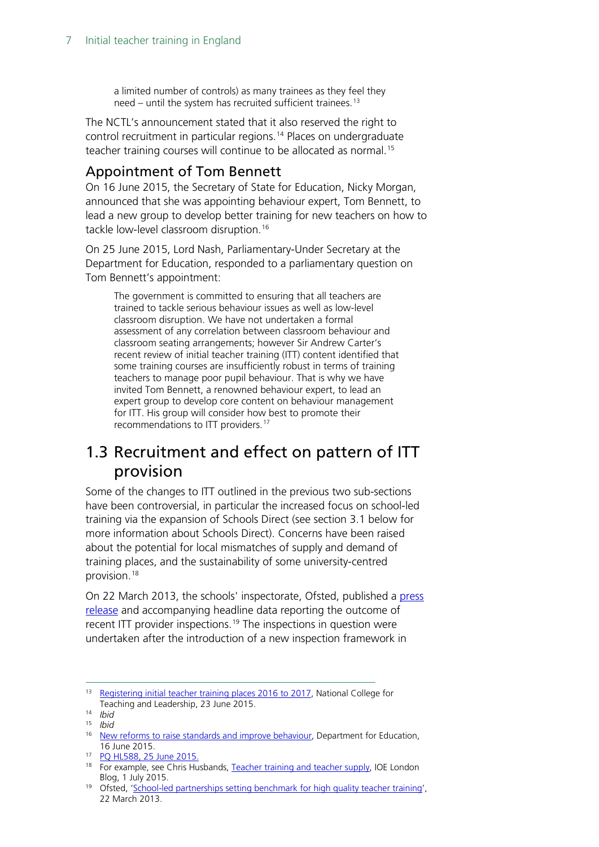a limited number of controls) as many trainees as they feel they need – until the system has recruited sufficient trainees.<sup>[13](#page-6-2)</sup>

The NCTL's announcement stated that it also reserved the right to control recruitment in particular regions.<sup>[14](#page-6-3)</sup> Places on undergraduate teacher training courses will continue to be allocated as normal.<sup>[15](#page-6-4)</sup>

## <span id="page-6-0"></span>Appointment of Tom Bennett

On 16 June 2015, the Secretary of State for Education, Nicky Morgan, announced that she was appointing behaviour expert, Tom Bennett, to lead a new group to develop better training for new teachers on how to tackle low-level classroom disruption.<sup>[16](#page-6-5)</sup>

On 25 June 2015, Lord Nash, Parliamentary-Under Secretary at the Department for Education, responded to a parliamentary question on Tom Bennett's appointment:

The government is committed to ensuring that all teachers are trained to tackle serious behaviour issues as well as low-level classroom disruption. We have not undertaken a formal assessment of any correlation between classroom behaviour and classroom seating arrangements; however Sir Andrew Carter's recent review of initial teacher training (ITT) content identified that some training courses are insufficiently robust in terms of training teachers to manage poor pupil behaviour. That is why we have invited Tom Bennett, a renowned behaviour expert, to lead an expert group to develop core content on behaviour management for ITT. His group will consider how best to promote their recommendations to ITT providers.[17](#page-6-6)

# <span id="page-6-1"></span>1.3 Recruitment and effect on pattern of ITT provision

Some of the changes to ITT outlined in the previous two sub-sections have been controversial, in particular the increased focus on school-led training via the expansion of Schools Direct (see section 3.1 below for more information about Schools Direct). Concerns have been raised about the potential for local mismatches of supply and demand of training places, and the sustainability of some university-centred provision.[18](#page-6-7)

On 22 March 2013, the schools' inspectorate, Ofsted, published a press [release](http://www.ofsted.gov.uk/news/school-led-partnerships-setting-benchmark-for-high-quality-teacher-training-0) and accompanying headline data reporting the outcome of recent ITT provider inspections.<sup>[19](#page-6-8)</sup> The inspections in question were undertaken after the introduction of a new inspection framework in

<span id="page-6-2"></span><sup>&</sup>lt;sup>13</sup> [Registering initial teacher training places 2016 to 2017,](https://www.gov.uk/registering-initial-teacher-training-places-2016-to-2017#timescales-activities-and-deadlines) National College for Teaching and Leadership, 23 June 2015.

<span id="page-6-3"></span><sup>14</sup> *Ibid*

<span id="page-6-4"></span><sup>15</sup> *Ibid*

<span id="page-6-5"></span><sup>&</sup>lt;sup>16</sup> [New reforms to raise standards and improve behaviour,](https://www.gov.uk/government/news/new-reforms-to-raise-standards-and-improve-behaviour) Department for Education, 16 June 2015.

<span id="page-6-6"></span><sup>17</sup> [PQ HL588, 25 June 2015.](http://www.parliament.uk/written-questions-answers-statements/written-question/lords/2015-06-17/HL588)

<span id="page-6-7"></span><sup>&</sup>lt;sup>18</sup> For example, see Chris Husbands, [Teacher training and teacher supply,](https://ioelondonblog.wordpress.com/2015/07/01/teacher-training-and-teacher-supply/) IOE London Blog, 1 July 2015.

<span id="page-6-8"></span><sup>19</sup> Ofsted, ['School-led partnerships setting benchmark for high quality teacher training'](http://www.ofsted.gov.uk/news/school-led-partnerships-setting-benchmark-for-high-quality-teacher-training-0), 22 March 2013.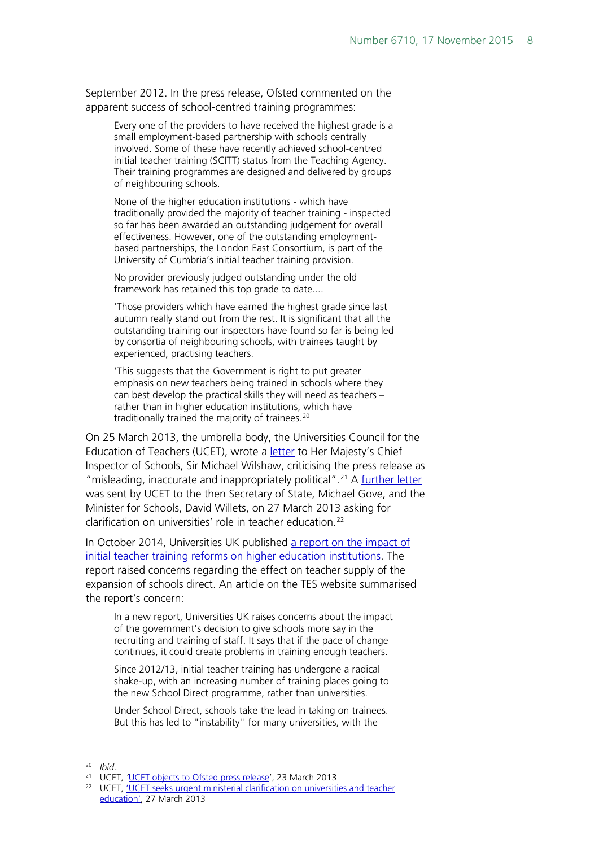September 2012. In the press release, Ofsted commented on the apparent success of school-centred training programmes:

Every one of the providers to have received the highest grade is a small employment-based partnership with schools centrally involved. Some of these have recently achieved school-centred initial teacher training (SCITT) status from the Teaching Agency. Their training programmes are designed and delivered by groups of neighbouring schools.

None of the higher education institutions - which have traditionally provided the majority of teacher training - inspected so far has been awarded an outstanding judgement for overall effectiveness. However, one of the outstanding employmentbased partnerships, the London East Consortium, is part of the University of Cumbria's initial teacher training provision.

No provider previously judged outstanding under the old framework has retained this top grade to date....

'Those providers which have earned the highest grade since last autumn really stand out from the rest. It is significant that all the outstanding training our inspectors have found so far is being led by consortia of neighbouring schools, with trainees taught by experienced, practising teachers.

'This suggests that the Government is right to put greater emphasis on new teachers being trained in schools where they can best develop the practical skills they will need as teachers – rather than in higher education institutions, which have traditionally trained the majority of trainees.<sup>[20](#page-7-0)</sup>

On 25 March 2013, the umbrella body, the Universities Council for the Education of Teachers (UCET), wrote a **letter** to Her Majesty's Chief Inspector of Schools, Sir Michael Wilshaw, criticising the press release as "misleading, inaccurate and inappropriately political".<sup>[21](#page-7-1)</sup> A [further letter](http://webcache.googleusercontent.com/search?q=cache:reBUdLsX9dUJ:www.ucet.ac.uk/downloads/4746-27-March-2013-UCET-seeks-urgent-ministerial-clarification-on-universities-and-teacher-education-(Gove-letter).pdf+&cd=1&hl=en&ct=clnk&gl=uk) was sent by UCET to the then Secretary of State, Michael Gove, and the Minister for Schools, David Willets, on 27 March 2013 asking for clarification on universities' role in teacher education.[22](#page-7-2)

In October 2014, Universities UK published a report on the impact of [initial teacher training reforms on higher education institutions.](http://www.universitiesuk.ac.uk/highereducation/Documents/2014/ImpactOfITTreformsOnEnglishHEIs.pdf) The report raised concerns regarding the effect on teacher supply of the expansion of schools direct. An article on the TES website summarised the report's concern:

In a new report, Universities UK raises concerns about the impact of the government's decision to give schools more say in the recruiting and training of staff. It says that if the pace of change continues, it could create problems in training enough teachers.

Since 2012/13, initial teacher training has undergone a radical shake-up, with an increasing number of training places going to the new School Direct programme, rather than universities.

Under School Direct, schools take the lead in taking on trainees. But this has led to "instability" for many universities, with the

 <sup>20</sup> *Ibid*.

<span id="page-7-2"></span><span id="page-7-1"></span><span id="page-7-0"></span><sup>21</sup> UCET, *'*[UCET objects to Ofsted press release'](http://webcache.googleusercontent.com/search?q=cache:D-9yMtiPpEIJ:www.ucet.ac.uk/downloads/4745-25-March-2013-UCET-objects-to-OFSTED-press-release.pdf+&cd=1&hl=en&ct=clnk&gl=uk), 23 March 2013

<sup>&</sup>lt;sup>22</sup> UCET, 'UCET seeks urgent ministerial clarification on universities and teacher [education',](http://webcache.googleusercontent.com/search?q=cache:reBUdLsX9dUJ:www.ucet.ac.uk/downloads/4746-27-March-2013-UCET-seeks-urgent-ministerial-clarification-on-universities-and-teacher-education-(Gove-letter).pdf+&cd=1&hl=en&ct=clnk&gl=uk) 27 March 2013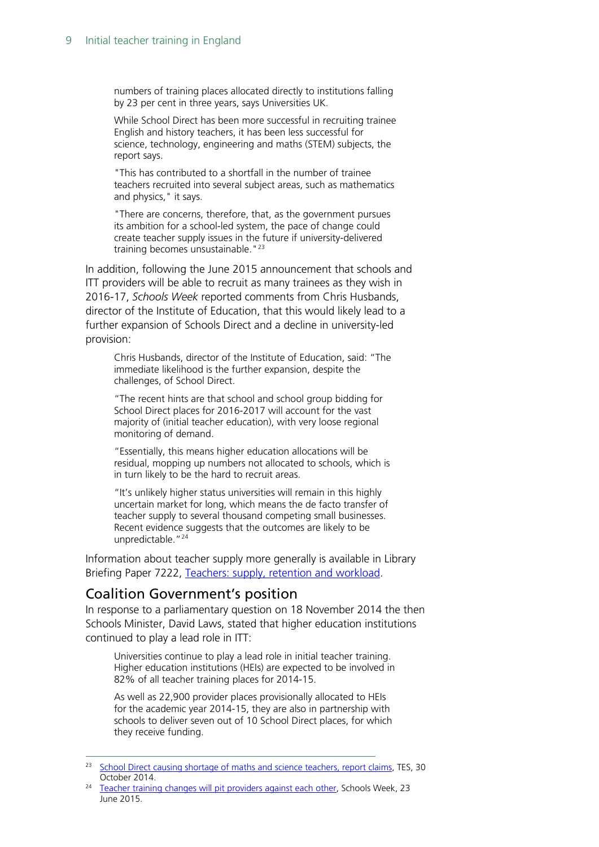numbers of training places allocated directly to institutions falling by 23 per cent in three years, says Universities UK.

While School Direct has been more successful in recruiting trainee English and history teachers, it has been less successful for science, technology, engineering and maths (STEM) subjects, the report says.

"This has contributed to a shortfall in the number of trainee teachers recruited into several subject areas, such as mathematics and physics," it says.

"There are concerns, therefore, that, as the government pursues its ambition for a school-led system, the pace of change could create teacher supply issues in the future if university-delivered training becomes unsustainable."<sup>[23](#page-8-1)</sup>

In addition, following the June 2015 announcement that schools and ITT providers will be able to recruit as many trainees as they wish in 2016-17, *Schools Week* reported comments from Chris Husbands, director of the Institute of Education, that this would likely lead to a further expansion of Schools Direct and a decline in university-led provision:

Chris Husbands, director of the Institute of Education, said: "The immediate likelihood is the further expansion, despite the challenges, of School Direct.

"The recent hints are that school and school group bidding for School Direct places for 2016-2017 will account for the vast majority of (initial teacher education), with very loose regional monitoring of demand.

"Essentially, this means higher education allocations will be residual, mopping up numbers not allocated to schools, which is in turn likely to be the hard to recruit areas.

"It's unlikely higher status universities will remain in this highly uncertain market for long, which means the de facto transfer of teacher supply to several thousand competing small businesses. Recent evidence suggests that the outcomes are likely to be unpredictable."<sup>[24](#page-8-2)</sup>

Information about teacher supply more generally is available in Library Briefing Paper 7222, [Teachers: supply, retention and workload.](http://researchbriefings.files.parliament.uk/documents/CBP-7222/CBP-7222.pdf)

#### <span id="page-8-0"></span>Coalition Government's position

In response to a parliamentary question on 18 November 2014 the then Schools Minister, David Laws, stated that higher education institutions continued to play a lead role in ITT:

Universities continue to play a lead role in initial teacher training. Higher education institutions (HEIs) are expected to be involved in 82% of all teacher training places for 2014-15.

As well as 22,900 provider places provisionally allocated to HEIs for the academic year 2014-15, they are also in partnership with schools to deliver seven out of 10 School Direct places, for which they receive funding.

<span id="page-8-1"></span><sup>&</sup>lt;sup>23</sup> [School Direct causing shortage of maths and science teachers, report claims,](https://news.tes.co.uk/b/news/2014/10/29/school-direct-causing-shortage-of-maths-and-science-teachers-report-claims.aspx) TES, 30 October 2014.

<span id="page-8-2"></span><sup>&</sup>lt;sup>24</sup> [Teacher training changes will pit providers against each other,](http://schoolsweek.co.uk/nctl-registration-changes-pit-teacher-training-providers-against-each-other/) Schools Week, 23 June 2015.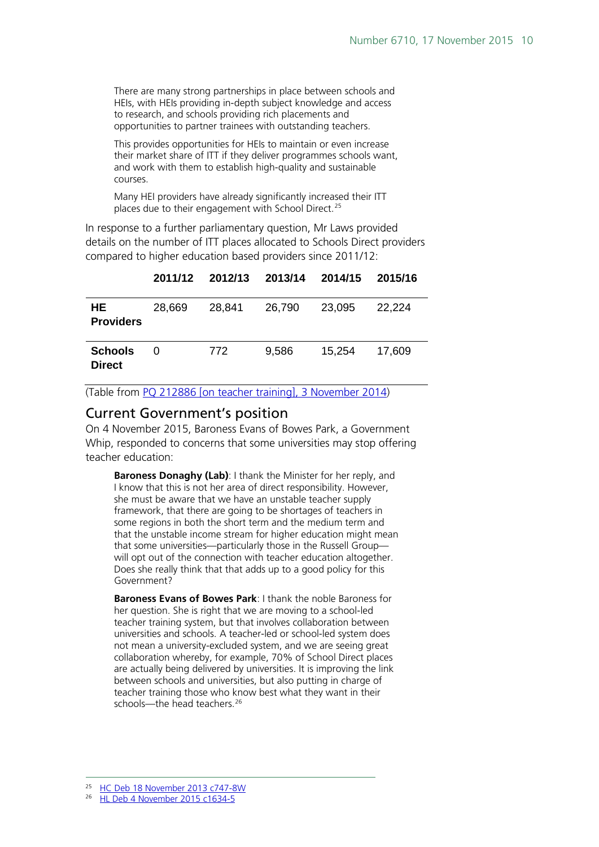There are many strong partnerships in place between schools and HEIs, with HEIs providing in-depth subject knowledge and access to research, and schools providing rich placements and opportunities to partner trainees with outstanding teachers.

This provides opportunities for HEIs to maintain or even increase their market share of ITT if they deliver programmes schools want, and work with them to establish high-quality and sustainable courses.

Many HEI providers have already significantly increased their ITT places due to their engagement with School Direct.<sup>[25](#page-9-1)</sup>

In response to a further parliamentary question, Mr Laws provided details on the number of ITT places allocated to Schools Direct providers compared to higher education based providers since 2011/12:

|                                 |        |        | 2011/12 2012/13 2013/14 2014/15 |        | 2015/16 |
|---------------------------------|--------|--------|---------------------------------|--------|---------|
| HE.<br><b>Providers</b>         | 28,669 | 28,841 | 26,790                          | 23,095 | 22,224  |
| <b>Schools</b><br><b>Direct</b> | 0      | 772    | 9,586                           | 15,254 | 17.609  |

(Table from [PQ 212886 \[on teacher training\], 3 November 2014\)](http://www.parliament.uk/written-questions-answers-statements/written-question/commons/2014-11-03/212886)

#### <span id="page-9-0"></span>Current Government's position

On 4 November 2015, Baroness Evans of Bowes Park, a Government Whip, responded to concerns that some universities may stop offering teacher education:

**Baroness Donaghy (Lab)**: I thank the Minister for her reply, and I know that this is not her area of direct responsibility. However, she must be aware that we have an unstable teacher supply framework, that there are going to be shortages of teachers in some regions in both the short term and the medium term and that the unstable income stream for higher education might mean that some universities—particularly those in the Russell Group will opt out of the connection with teacher education altogether. Does she really think that that adds up to a good policy for this Government?

**Baroness Evans of Bowes Park**: I thank the noble Baroness for her question. She is right that we are moving to a school-led teacher training system, but that involves collaboration between universities and schools. A teacher-led or school-led system does not mean a university-excluded system, and we are seeing great collaboration whereby, for example, 70% of School Direct places are actually being delivered by universities. It is improving the link between schools and universities, but also putting in charge of teacher training those who know best what they want in their schools—the head teachers.<sup>[26](#page-9-2)</sup>

<span id="page-9-2"></span><span id="page-9-1"></span><sup>26</sup> [HL Deb 4 November 2015 c1634-5](http://www.publications.parliament.uk/pa/ld201516/ldhansrd/text/151104-0001.htm#15110439000439)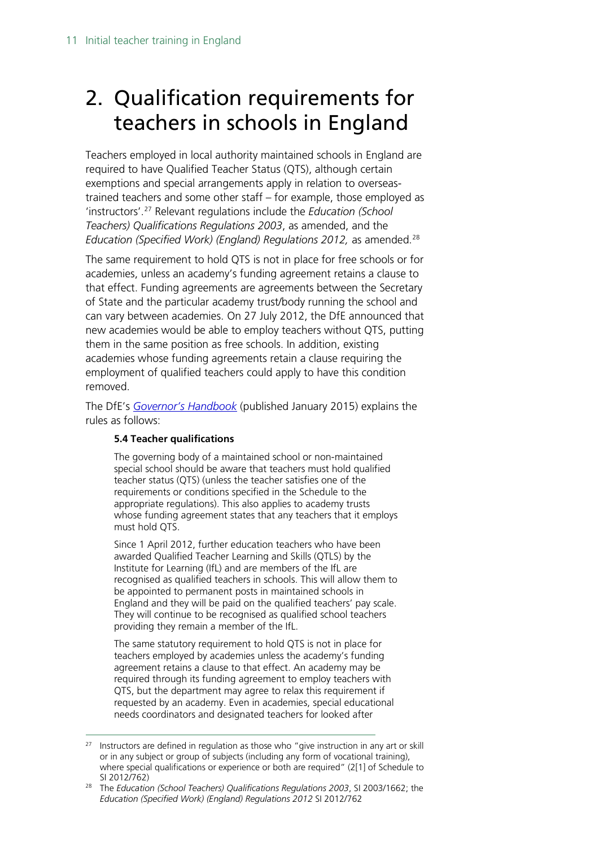# <span id="page-10-0"></span>2. Qualification requirements for teachers in schools in England

Teachers employed in local authority maintained schools in England are required to have Qualified Teacher Status (QTS), although certain exemptions and special arrangements apply in relation to overseastrained teachers and some other staff – for example, those employed as 'instructors'.[27](#page-10-1) Relevant regulations include the *Education (School Teachers) Qualifications Regulations 2003*, as amended, and the *Education (Specified Work) (England) Regulations 2012, as amended.*<sup>[28](#page-10-2)</sup>

The same requirement to hold QTS is not in place for free schools or for academies, unless an academy's funding agreement retains a clause to that effect. Funding agreements are agreements between the Secretary of State and the particular academy trust/body running the school and can vary between academies. On 27 July 2012, the DfE announced that new academies would be able to employ teachers without QTS, putting them in the same position as free schools. In addition, existing academies whose funding agreements retain a clause requiring the employment of qualified teachers could apply to have this condition removed.

The DfE's *[Governor's Handbook](https://www.gov.uk/government/publications/governors-handbook--3)* (published January 2015) explains the rules as follows:

#### **5.4 Teacher qualifications**

The governing body of a maintained school or non-maintained special school should be aware that teachers must hold qualified teacher status (QTS) (unless the teacher satisfies one of the requirements or conditions specified in the Schedule to the appropriate regulations). This also applies to academy trusts whose funding agreement states that any teachers that it employs must hold QTS.

Since 1 April 2012, further education teachers who have been awarded Qualified Teacher Learning and Skills (QTLS) by the Institute for Learning (IfL) and are members of the IfL are recognised as qualified teachers in schools. This will allow them to be appointed to permanent posts in maintained schools in England and they will be paid on the qualified teachers' pay scale. They will continue to be recognised as qualified school teachers providing they remain a member of the IfL.

The same statutory requirement to hold QTS is not in place for teachers employed by academies unless the academy's funding agreement retains a clause to that effect. An academy may be required through its funding agreement to employ teachers with QTS, but the department may agree to relax this requirement if requested by an academy. Even in academies, special educational needs coordinators and designated teachers for looked after

<span id="page-10-1"></span> $27$  Instructors are defined in regulation as those who "give instruction in any art or skill or in any subject or group of subjects (including any form of vocational training), where special qualifications or experience or both are required" (2[1] of Schedule to SI 2012/762)

<span id="page-10-2"></span><sup>28</sup> The *Education (School Teachers) Qualifications Regulations 2003*, SI 2003/1662; the *Education (Specified Work) (England) Regulations 2012* SI 2012/762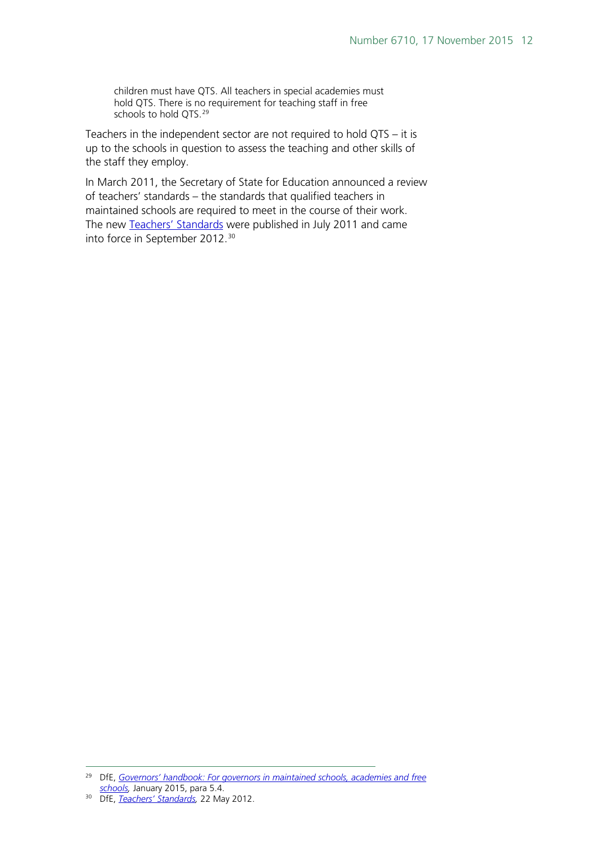children must have QTS. All teachers in special academies must hold QTS. There is no requirement for teaching staff in free schools to hold QTS.<sup>[29](#page-11-0)</sup>

Teachers in the independent sector are not required to hold QTS – it is up to the schools in question to assess the teaching and other skills of the staff they employ.

In March 2011, the Secretary of State for Education announced a review of teachers' standards – the standards that qualified teachers in maintained schools are required to meet in the course of their work. The new [Teachers' Standards](https://www.gov.uk/government/publications/teachers-standards) were published in July 2011 and came into force in September 2012.[30](#page-11-1)

<span id="page-11-0"></span> <sup>29</sup> DfE, *[Governors' handbook: For governors in maintained schools, academies and free](https://www.gov.uk/government/uploads/system/uploads/attachment_data/file/395789/Governors_Handbook.pdf)  [schools,](https://www.gov.uk/government/uploads/system/uploads/attachment_data/file/395789/Governors_Handbook.pdf)* January 2015, para 5.4.

<span id="page-11-1"></span><sup>30</sup> DfE, *[Teachers' Standards,](https://www.gov.uk/government/publications/teachers-standards)* 22 May 2012.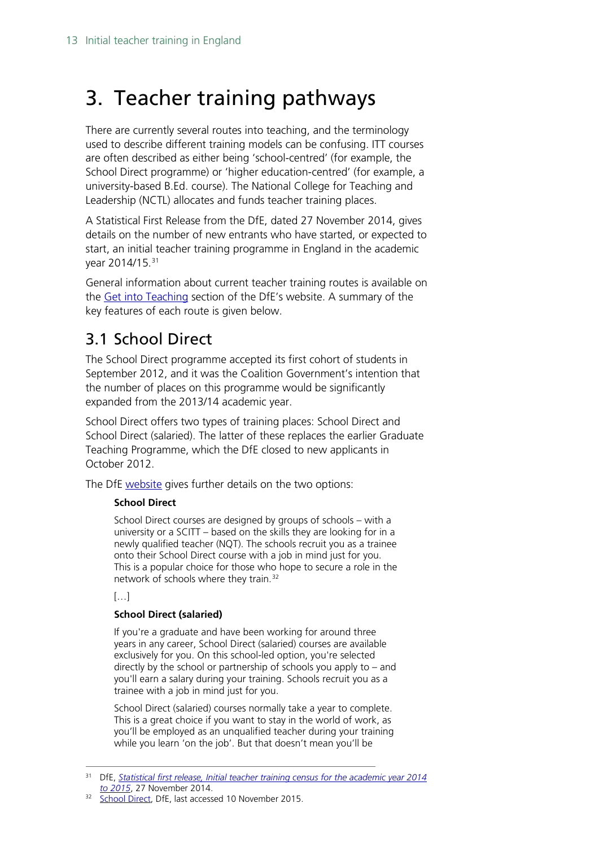# <span id="page-12-0"></span>3. Teacher training pathways

There are currently several routes into teaching, and the terminology used to describe different training models can be confusing. ITT courses are often described as either being 'school-centred' (for example, the School Direct programme) or 'higher education-centred' (for example, a university-based B.Ed. course). The National College for Teaching and Leadership (NCTL) allocates and funds teacher training places.

A Statistical First Release from the DfE, dated 27 November 2014, gives details on the number of new entrants who have started, or expected to start, an initial teacher training programme in England in the academic year 2014/15.<sup>[31](#page-12-2)</sup>

General information about current teacher training routes is available on the [Get into Teaching](https://getintoteaching.education.gov.uk/explore-my-options/secondary/training-options) section of the DfE's website. A summary of the key features of each route is given below.

# <span id="page-12-1"></span>3.1 School Direct

The School Direct programme accepted its first cohort of students in September 2012, and it was the Coalition Government's intention that the number of places on this programme would be significantly expanded from the 2013/14 academic year.

School Direct offers two types of training places: School Direct and School Direct (salaried). The latter of these replaces the earlier Graduate Teaching Programme, which the DfE closed to new applicants in October 2012.

The DfE [website](http://www.education.gov.uk/get-into-teaching/teacher-training-options/school-based-training/school-direct.aspx) gives further details on the two options:

#### **School Direct**

School Direct courses are designed by groups of schools – with a university or a SCITT – based on the skills they are looking for in a newly qualified teacher (NQT). The schools recruit you as a trainee onto their School Direct course with a job in mind just for you. This is a popular choice for those who hope to secure a role in the network of schools where they train.[32](#page-12-3)

#### […]

#### **School Direct (salaried)**

If you're a graduate and have been working for around three years in any career, School Direct (salaried) courses are available exclusively for you. On this school-led option, you're selected directly by the school or partnership of schools you apply to – and you'll earn a salary during your training. Schools recruit you as a trainee with a job in mind just for you.

School Direct (salaried) courses normally take a year to complete. This is a great choice if you want to stay in the world of work, as you'll be employed as an unqualified teacher during your training while you learn 'on the job'. But that doesn't mean you'll be

<span id="page-12-2"></span> <sup>31</sup> DfE, *[Statistical first release, Initial teacher training census for the academic year 2014](https://www.gov.uk/government/uploads/system/uploads/attachment_data/file/380175/ITT_CENSUS_2014-15_FINAL.pdf)* 

<span id="page-12-3"></span><sup>&</sup>lt;sup>32</sup> [School Direct,](https://getintoteaching.education.gov.uk/explore-my-options/training/school-direct) DfE, last accessed 10 November 2015.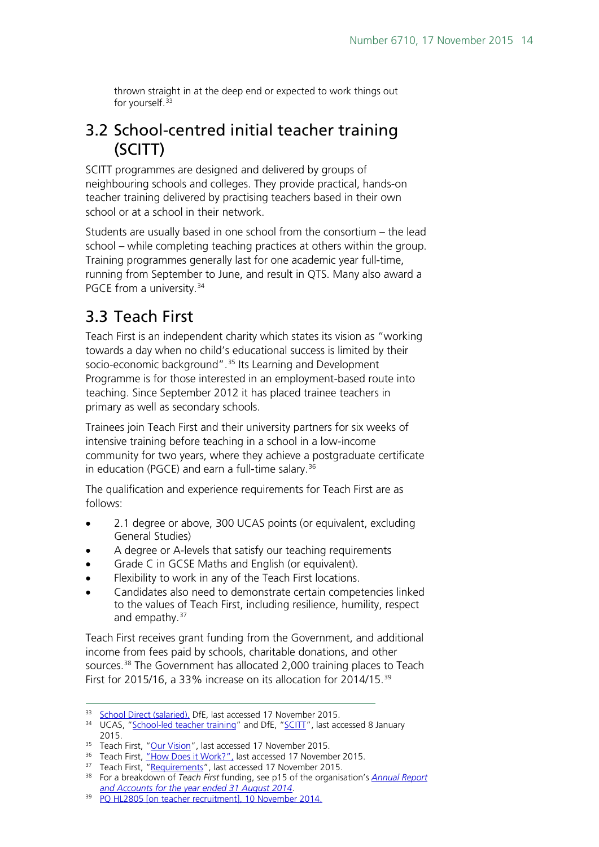thrown straight in at the deep end or expected to work things out for yourself.<sup>[33](#page-13-2)</sup>

# <span id="page-13-0"></span>3.2 School-centred initial teacher training (SCITT)

SCITT programmes are designed and delivered by groups of neighbouring schools and colleges. They provide practical, hands-on teacher training delivered by practising teachers based in their own school or at a school in their network.

Students are usually based in one school from the consortium – the lead school – while completing teaching practices at others within the group. Training programmes generally last for one academic year full-time, running from September to June, and result in QTS. Many also award a PGCE from a university.<sup>[34](#page-13-3)</sup>

# <span id="page-13-1"></span>3.3 Teach First

Teach First is an independent charity which states its vision as "working towards a day when no child's educational success is limited by their socio-economic background".<sup>[35](#page-13-4)</sup> Its Learning and Development Programme is for those interested in an employment-based route into teaching. Since September 2012 it has placed trainee teachers in primary as well as secondary schools.

Trainees join Teach First and their university partners for six weeks of intensive training before teaching in a school in a low-income community for two years, where they achieve a postgraduate certificate in education (PGCE) and earn a full-time salary.<sup>[36](#page-13-5)</sup>

The qualification and experience requirements for Teach First are as follows:

- 2.1 degree or above, 300 UCAS points (or equivalent, excluding General Studies)
- A degree or A-levels that satisfy our teaching requirements
- Grade C in GCSE Maths and English (or equivalent).
- Flexibility to work in any of the Teach First locations.
- Candidates also need to demonstrate certain competencies linked to the values of Teach First, including resilience, humility, respect and empathy. $37$

Teach First receives grant funding from the Government, and additional income from fees paid by schools, charitable donations, and other sources.<sup>38</sup> The Government has allocated 2,000 training places to Teach First for 2015/16, a 33% increase on its allocation for 2014/15.[39](#page-13-8)

<span id="page-13-2"></span><sup>33</sup> [School Direct \(salaried\),](https://getintoteaching.education.gov.uk/explore-my-options/training/school-direct-salaried) DfE, last accessed 17 November 2015.

<span id="page-13-3"></span><sup>&</sup>lt;sup>34</sup> UCAS, ["School-led teacher training"](http://www.ucas.com/how-it-all-works/teacher-training/postgraduate-routes-teaching/training-in-schools) and DfE, ["SCITT"](https://getintoteaching.education.gov.uk/explore-my-options/training/scitt), last accessed 8 January 2015.

<span id="page-13-5"></span><span id="page-13-4"></span><sup>&</sup>lt;sup>35</sup> Teach First, "<u>Our Vision</u>", last accessed 17 November 2015.<br><sup>36</sup> Teach First, <u>"How Does it Work?",</u> last accessed 17 November 2015.

<span id="page-13-6"></span><sup>&</sup>lt;sup>37</sup> Teach First, "<u>Requirements</u>", last accessed 17 November 2015.

<span id="page-13-7"></span><sup>38</sup> For a breakdown of *Teach First* funding, see p15 of the organisation's *[Annual Report](http://www.teachfirst.org.uk/sites/default/files/press/pdf/2013-14%20Trustees%27%20Annual%20Report%20and%20Accounts%20-%20final%20signed%20version%20GT%20for%20CC.pdf)  [and Accounts for the year ended 31 August 2014](http://www.teachfirst.org.uk/sites/default/files/press/pdf/2013-14%20Trustees%27%20Annual%20Report%20and%20Accounts%20-%20final%20signed%20version%20GT%20for%20CC.pdf)*.

<span id="page-13-8"></span><sup>&</sup>lt;sup>39</sup> [PQ HL2805 \[on teacher recruitment\], 10 November 2014.](http://www.parliament.uk/written-questions-answers-statements/written-question/lords/2014-11-10/HL2805)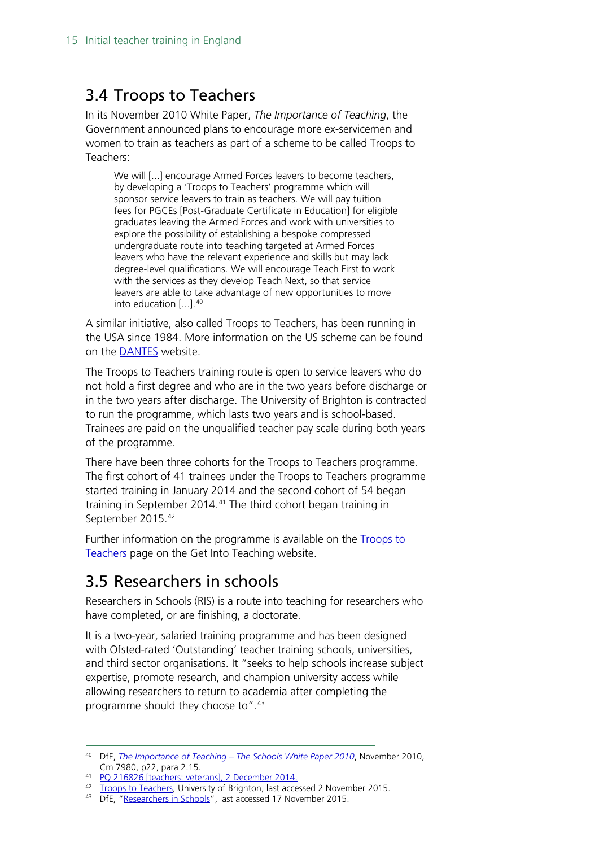## <span id="page-14-0"></span>3.4 Troops to Teachers

In its November 2010 White Paper, *The Importance of Teaching*, the Government announced plans to encourage more ex-servicemen and women to train as teachers as part of a scheme to be called Troops to Teachers:

We will [...] encourage Armed Forces leavers to become teachers, by developing a 'Troops to Teachers' programme which will sponsor service leavers to train as teachers. We will pay tuition fees for PGCEs [Post-Graduate Certificate in Education] for eligible graduates leaving the Armed Forces and work with universities to explore the possibility of establishing a bespoke compressed undergraduate route into teaching targeted at Armed Forces leavers who have the relevant experience and skills but may lack degree-level qualifications. We will encourage Teach First to work with the services as they develop Teach Next, so that service leavers are able to take advantage of new opportunities to move into education [...].<sup>[40](#page-14-2)</sup>

A similar initiative, also called Troops to Teachers, has been running in the USA since 1984. More information on the US scheme can be found on the [DANTES](http://troopstoteachers.net/) website.

The Troops to Teachers training route is open to service leavers who do not hold a first degree and who are in the two years before discharge or in the two years after discharge. The University of Brighton is contracted to run the programme, which lasts two years and is school-based. Trainees are paid on the unqualified teacher pay scale during both years of the programme.

There have been three cohorts for the Troops to Teachers programme. The first cohort of 41 trainees under the Troops to Teachers programme started training in January 2014 and the second cohort of 54 began training in September 2014.<sup>[41](#page-14-3)</sup> The third cohort began training in September 2015.[42](#page-14-4)

Further information on the programme is available on the **Troops to** [Teachers](https://getintoteaching.education.gov.uk/explore-my-options/specialist-training-options/troops-to-teachers) page on the Get Into Teaching website.

# <span id="page-14-1"></span>3.5 Researchers in schools

Researchers in Schools (RIS) is a route into teaching for researchers who have completed, or are finishing, a doctorate.

It is a two-year, salaried training programme and has been designed with Ofsted-rated 'Outstanding' teacher training schools, universities, and third sector organisations. It "seeks to help schools increase subject expertise, promote research, and champion university access while allowing researchers to return to academia after completing the programme should they choose to".[43](#page-14-5)

<span id="page-14-2"></span> <sup>40</sup> DfE, *The Importance of Teaching – [The Schools White Paper 2010](https://www.education.gov.uk/publications/eOrderingDownload/CM-7980.pdf)*, November 2010, Cm 7980, p22, para 2.15.

<span id="page-14-3"></span><sup>41</sup> [PQ 216826 \[teachers: veterans\], 2 December 2014.](http://www.parliament.uk/written-questions-answers-statements/written-question/commons/2014-12-02/216826)

<span id="page-14-4"></span><sup>&</sup>lt;sup>42</sup> [Troops to Teachers,](http://about.brighton.ac.uk/education/work-with-us/partner-schools/troops-to-teachers.php) University of Brighton, last accessed 2 November 2015.

<span id="page-14-5"></span><sup>43</sup> DfE, ["Researchers in Schools"](http://www.education.gov.uk/get-into-teaching/teacher-training-options/school-based-training/researchers-in-schools), last accessed 17 November 2015.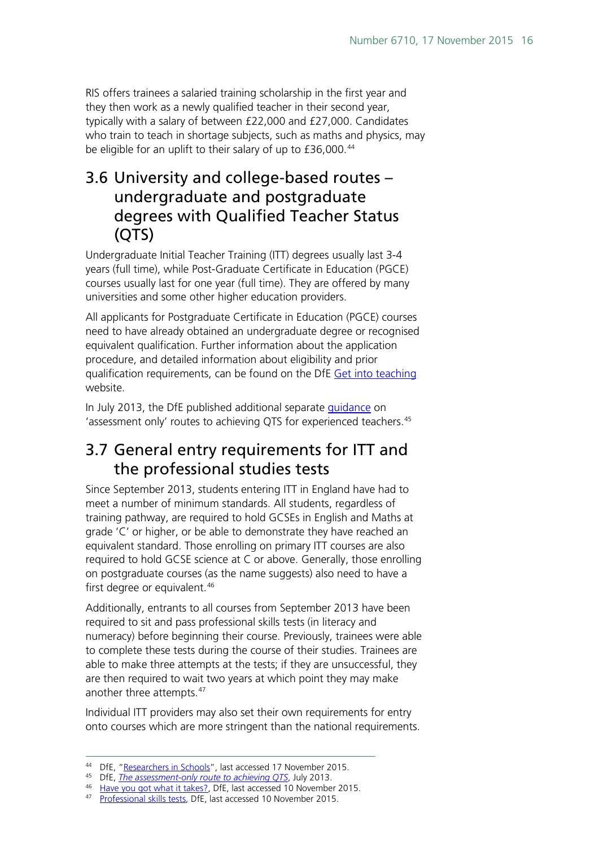RIS offers trainees a salaried training scholarship in the first year and they then work as a newly qualified teacher in their second year, typically with a salary of between £22,000 and £27,000. Candidates who train to teach in shortage subjects, such as maths and physics, may be eligible for an uplift to their salary of up to £36,000.<sup>[44](#page-15-2)</sup>

# <span id="page-15-0"></span>3.6 University and college-based routes – undergraduate and postgraduate degrees with Qualified Teacher Status (QTS)

Undergraduate Initial Teacher Training (ITT) degrees usually last 3-4 years (full time), while Post-Graduate Certificate in Education (PGCE) courses usually last for one year (full time). They are offered by many universities and some other higher education providers.

All applicants for Postgraduate Certificate in Education (PGCE) courses need to have already obtained an undergraduate degree or recognised equivalent qualification. Further information about the application procedure, and detailed information about eligibility and prior qualification requirements, can be found on the DfE [Get into teaching](https://getintoteaching.education.gov.uk/explore-my-options/university-led-training) website.

In July 2013, the DfE published additional separate [guidance](https://www.gov.uk/government/uploads/system/uploads/attachment_data/file/227315/Assessment-only-route-to-qts.pdf) on 'assessment only' routes to achieving QTS for experienced teachers.<sup>[45](#page-15-3)</sup>

# <span id="page-15-1"></span>3.7 General entry requirements for ITT and the professional studies tests

Since September 2013, students entering ITT in England have had to meet a number of minimum standards. All students, regardless of training pathway, are required to hold GCSEs in English and Maths at grade 'C' or higher, or be able to demonstrate they have reached an equivalent standard. Those enrolling on primary ITT courses are also required to hold GCSE science at C or above. Generally, those enrolling on postgraduate courses (as the name suggests) also need to have a first degree or equivalent.<sup>[46](#page-15-4)</sup>

Additionally, entrants to all courses from September 2013 have been required to sit and pass professional skills tests (in literacy and numeracy) before beginning their course. Previously, trainees were able to complete these tests during the course of their studies. Trainees are able to make three attempts at the tests; if they are unsuccessful, they are then required to wait two years at which point they may make another three attempts.<sup>[47](#page-15-5)</sup>

Individual ITT providers may also set their own requirements for entry onto courses which are more stringent than the national requirements.

<span id="page-15-2"></span><sup>&</sup>lt;sup>44</sup> DfE, ["Researchers in Schools"](http://www.education.gov.uk/get-into-teaching/teacher-training-options/school-based-training/researchers-in-schools), last accessed 17 November 2015.<br><sup>45</sup> DfE, *The assessment-only route to achieving QTS*, July 2013.

<span id="page-15-4"></span><span id="page-15-3"></span><sup>&</sup>lt;sup>46</sup> Have you got what it takes?[,](https://www.gov.uk/government/uploads/system/uploads/attachment_data/file/227315/Assessment-only-route-to-qts.pdf) DfE, last accessed 10 November 2015.

<span id="page-15-5"></span><sup>47</sup> [Professional skills tests,](http://sta.education.gov.uk/) DfE, last accessed 10 November 2015.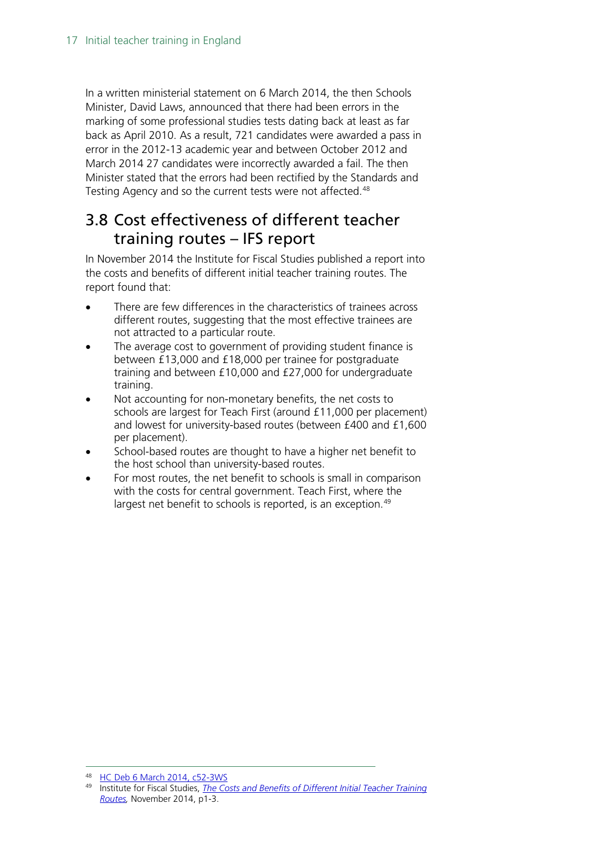In a written ministerial statement on 6 March 2014, the then Schools Minister, David Laws, announced that there had been errors in the marking of some professional studies tests dating back at least as far back as April 2010. As a result, 721 candidates were awarded a pass in error in the 2012-13 academic year and between October 2012 and March 2014 27 candidates were incorrectly awarded a fail. The then Minister stated that the errors had been rectified by the Standards and Testing Agency and so the current tests were not affected.<sup>[48](#page-16-1)</sup>

# <span id="page-16-0"></span>3.8 Cost effectiveness of different teacher training routes – IFS report

In November 2014 the Institute for Fiscal Studies published a report into the costs and benefits of different initial teacher training routes. The report found that:

- There are few differences in the characteristics of trainees across different routes, suggesting that the most effective trainees are not attracted to a particular route.
- The average cost to government of providing student finance is between £13,000 and £18,000 per trainee for postgraduate training and between £10,000 and £27,000 for undergraduate training.
- Not accounting for non-monetary benefits, the net costs to schools are largest for Teach First (around £11,000 per placement) and lowest for university-based routes (between £400 and £1,600 per placement).
- School-based routes are thought to have a higher net benefit to the host school than university-based routes.
- For most routes, the net benefit to schools is small in comparison with the costs for central government. Teach First, where the largest net benefit to schools is reported, is an exception.<sup>[49](#page-16-2)</sup>

<span id="page-16-1"></span> <sup>48</sup> [HC Deb 6 March 2014, c52-3WS](http://www.publications.parliament.uk/pa/cm201314/cmhansrd/cm140306/wmstext/140306m0001.htm#14030653000004)

<span id="page-16-2"></span><sup>49</sup> Institute for Fiscal Studies, *[The Costs and Benefits of Different Initial Teacher Training](http://www.ifs.org.uk/uploads/publications/comms/r100.pdf)  [Routes,](http://www.ifs.org.uk/uploads/publications/comms/r100.pdf)* November 2014, p1-3.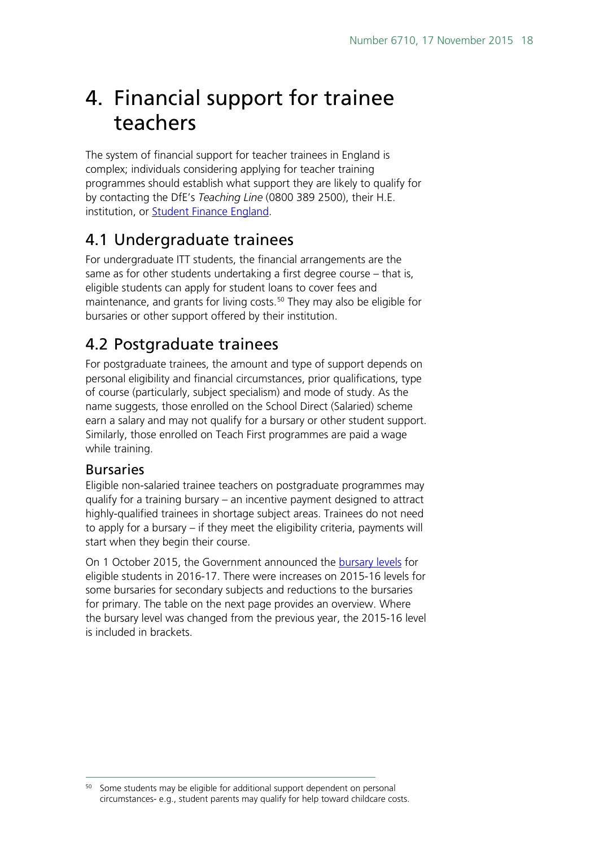# <span id="page-17-0"></span>4. Financial support for trainee teachers

The system of financial support for teacher trainees in England is complex; individuals considering applying for teacher training programmes should establish what support they are likely to qualify for by contacting the DfE's *Teaching Line* (0800 389 2500), their H.E. institution, or [Student Finance England.](https://www.gov.uk/contact-student-finance-england)

# <span id="page-17-1"></span>4.1 Undergraduate trainees

For undergraduate ITT students, the financial arrangements are the same as for other students undertaking a first degree course – that is, eligible students can apply for student loans to cover fees and maintenance, and grants for living costs.<sup>[50](#page-17-4)</sup> They may also be eligible for bursaries or other support offered by their institution.

# <span id="page-17-2"></span>4.2 Postgraduate trainees

For postgraduate trainees, the amount and type of support depends on personal eligibility and financial circumstances, prior qualifications, type of course (particularly, subject specialism) and mode of study. As the name suggests, those enrolled on the School Direct (Salaried) scheme earn a salary and may not qualify for a bursary or other student support. Similarly, those enrolled on Teach First programmes are paid a wage while training.

### <span id="page-17-3"></span>Bursaries

Eligible non-salaried trainee teachers on postgraduate programmes may qualify for a training bursary – an incentive payment designed to attract highly-qualified trainees in shortage subject areas. Trainees do not need to apply for a bursary – if they meet the eligibility criteria, payments will start when they begin their course.

On 1 October 2015, the Government announced the [bursary levels](https://getintoteaching.education.gov.uk/bursaries-and-funding) for eligible students in 2016-17. There were increases on 2015-16 levels for some bursaries for secondary subjects and reductions to the bursaries for primary. The table on the next page provides an overview. Where the bursary level was changed from the previous year, the 2015-16 level is included in brackets.

<span id="page-17-4"></span><sup>&</sup>lt;sup>50</sup> Some students may be eligible for additional support dependent on personal circumstances- e.g., student parents may qualify for help toward childcare costs.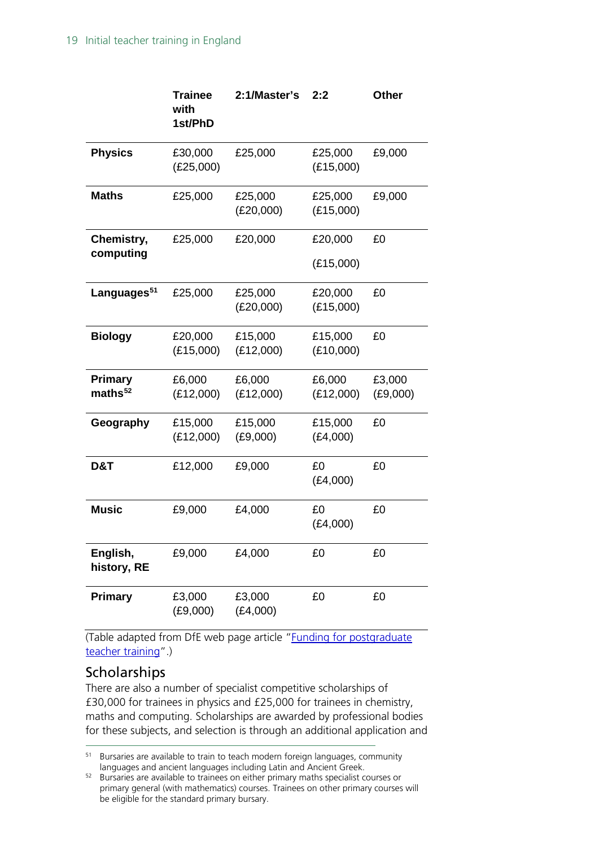|                              | <b>Trainee</b><br>with<br>1st/PhD | 2:1/Master's         | 2:2                  | <b>Other</b>       |
|------------------------------|-----------------------------------|----------------------|----------------------|--------------------|
| <b>Physics</b>               | £30,000<br>(E25,000)              | £25,000              | £25,000<br>(E15,000) | £9,000             |
| <b>Maths</b>                 | £25,000                           | £25,000<br>(E20,000) | £25,000<br>(E15,000) | £9,000             |
| Chemistry,<br>computing      | £25,000                           | £20,000              | £20,000              | £0                 |
|                              |                                   |                      | (E15,000)            |                    |
| Languages <sup>51</sup>      | £25,000                           | £25,000<br>(E20,000) | £20,000<br>(E15,000) | £0                 |
| <b>Biology</b>               | £20,000<br>(E15,000)              | £15,000<br>(E12,000) | £15,000<br>(E10,000) | £0                 |
| <b>Primary</b><br>maths $52$ | £6,000<br>(E12,000)               | £6,000<br>(E12,000)  | £6,000<br>(E12,000)  | £3,000<br>(E9,000) |
| Geography                    | £15,000<br>(E12,000)              | £15,000<br>(E9,000)  | £15,000<br>(E4,000)  | £0                 |
| D&T                          | £12,000                           | £9,000               | £0<br>(E4,000)       | £0                 |
| <b>Music</b>                 | £9,000                            | £4,000               | £0<br>(E4,000)       | £0                 |
| English,<br>history, RE      | £9,000                            | £4,000               | £0                   | £0                 |
| Primary                      | £3,000<br>(E9,000)                | £3,000<br>(E4,000)   | £0                   | £0                 |

(Table adapted from DfE web page article ["Funding for postgraduate](http://www.education.gov.uk/get-into-teaching/funding/postgraduate-funding)  [teacher training"](http://www.education.gov.uk/get-into-teaching/funding/postgraduate-funding).)

### <span id="page-18-0"></span>**Scholarships**

There are also a number of specialist competitive scholarships of £30,000 for trainees in physics and £25,000 for trainees in chemistry, maths and computing. Scholarships are awarded by professional bodies for these subjects, and selection is through an additional application and

<span id="page-18-1"></span><sup>&</sup>lt;sup>51</sup> Bursaries are available to train to teach modern foreign languages, community languages and ancient languages including Latin and Ancient Greek.

<span id="page-18-2"></span><sup>52</sup> Bursaries are available to trainees on either primary maths specialist courses or primary general (with mathematics) courses. Trainees on other primary courses will be eligible for the standard primary bursary.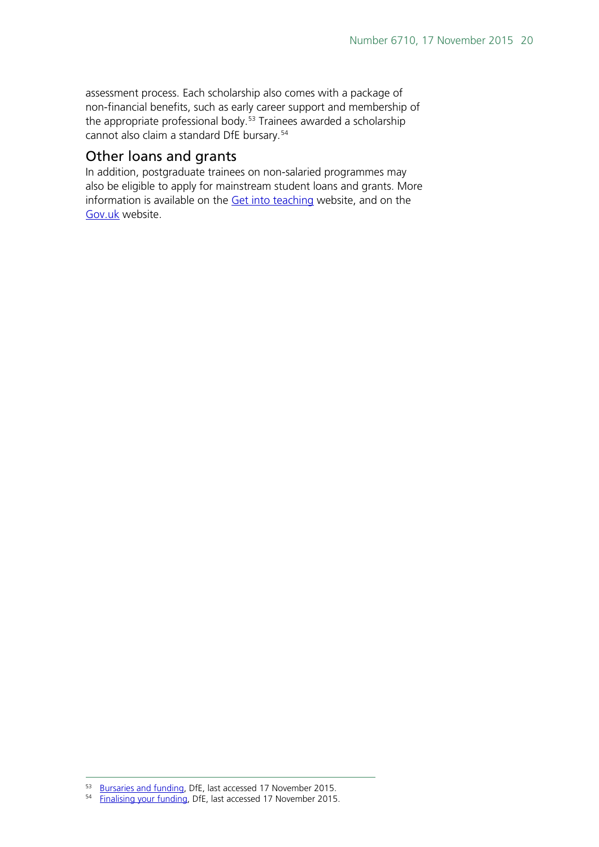assessment process. Each scholarship also comes with a package of non-financial benefits, such as early career support and membership of the appropriate professional body.<sup>[53](#page-19-1)</sup> Trainees awarded a scholarship cannot also claim a standard DfE bursary. [54](#page-19-2)

#### <span id="page-19-0"></span>Other loans and grants

In addition, postgraduate trainees on non-salaried programmes may also be eligible to apply for mainstream student loans and grants. More information is available on the [Get into teaching](https://getintoteaching.education.gov.uk/bursaries-and-funding) website, and on the [Gov.uk](https://www.gov.uk/contact-student-finance-england) website.

<sup>53</sup> [Bursaries and funding,](https://getintoteaching.education.gov.uk/bursaries-and-funding) DfE, last accessed 17 November 2015.<br><sup>54</sup> [Finalising your funding,](https://getintoteaching.education.gov.uk/finalising-your-funding) DfE, last accessed 17 November 2015.

<span id="page-19-2"></span><span id="page-19-1"></span>